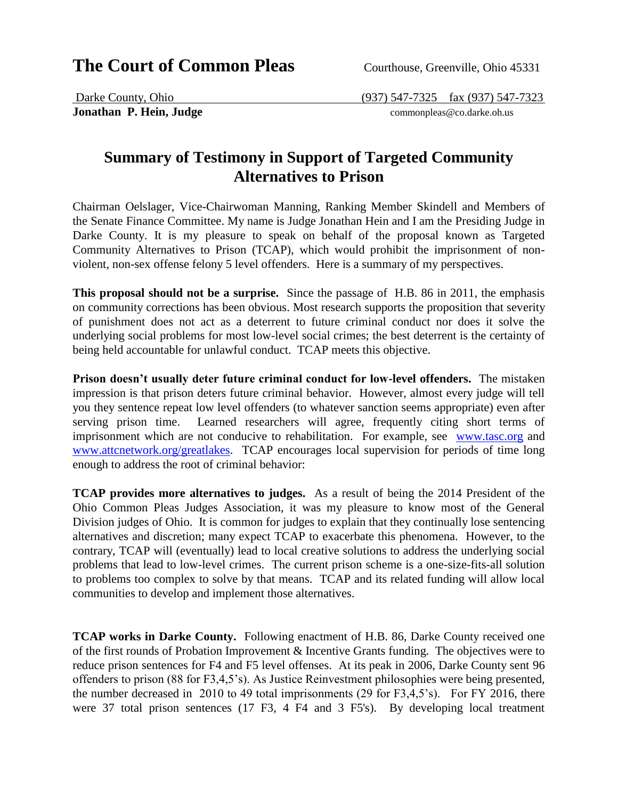## **The Court of Common Pleas** Courthouse, Greenville, Ohio 45331

**Jonathan P. Hein, Judge commonpleas@co.darke.oh.us** 

Darke County, Ohio (937) 547-7325 fax (937) 547-7323

## **Summary of Testimony in Support of Targeted Community Alternatives to Prison**

Chairman Oelslager, Vice-Chairwoman Manning, Ranking Member Skindell and Members of the Senate Finance Committee. My name is Judge Jonathan Hein and I am the Presiding Judge in Darke County. It is my pleasure to speak on behalf of the proposal known as Targeted Community Alternatives to Prison (TCAP), which would prohibit the imprisonment of nonviolent, non-sex offense felony 5 level offenders. Here is a summary of my perspectives.

**This proposal should not be a surprise.** Since the passage of H.B. 86 in 2011, the emphasis on community corrections has been obvious. Most research supports the proposition that severity of punishment does not act as a deterrent to future criminal conduct nor does it solve the underlying social problems for most low-level social crimes; the best deterrent is the certainty of being held accountable for unlawful conduct. TCAP meets this objective.

**Prison doesn't usually deter future criminal conduct for low-level offenders.** The mistaken impression is that prison deters future criminal behavior. However, almost every judge will tell you they sentence repeat low level offenders (to whatever sanction seems appropriate) even after serving prison time. Learned researchers will agree, frequently citing short terms of imprisonment which are not conducive to rehabilitation. For example, see [www.tasc.org](http://www.tasc.org/) and [www.attcnetwork.org/greatlakes.](http://www.attcnetwork.org/greatlakes) TCAP encourages local supervision for periods of time long enough to address the root of criminal behavior:

**TCAP provides more alternatives to judges.** As a result of being the 2014 President of the Ohio Common Pleas Judges Association, it was my pleasure to know most of the General Division judges of Ohio. It is common for judges to explain that they continually lose sentencing alternatives and discretion; many expect TCAP to exacerbate this phenomena. However, to the contrary, TCAP will (eventually) lead to local creative solutions to address the underlying social problems that lead to low-level crimes. The current prison scheme is a one-size-fits-all solution to problems too complex to solve by that means. TCAP and its related funding will allow local communities to develop and implement those alternatives.

**TCAP works in Darke County.** Following enactment of H.B. 86, Darke County received one of the first rounds of Probation Improvement & Incentive Grants funding. The objectives were to reduce prison sentences for F4 and F5 level offenses. At its peak in 2006, Darke County sent 96 offenders to prison (88 for F3,4,5's). As Justice Reinvestment philosophies were being presented, the number decreased in 2010 to 49 total imprisonments (29 for F3,4,5's). For FY 2016, there were 37 total prison sentences (17 F3, 4 F4 and 3 F5's). By developing local treatment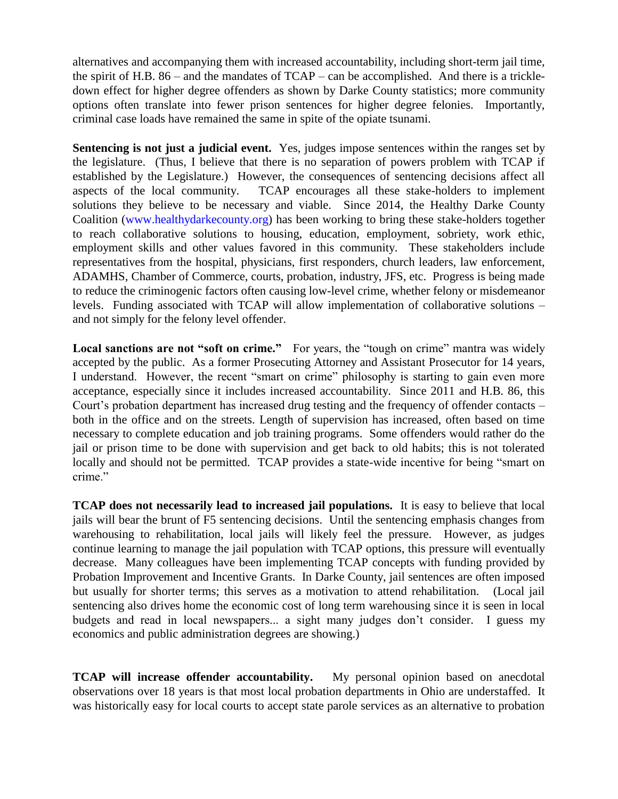alternatives and accompanying them with increased accountability, including short-term jail time, the spirit of H.B. 86 – and the mandates of TCAP – can be accomplished. And there is a trickledown effect for higher degree offenders as shown by Darke County statistics; more community options often translate into fewer prison sentences for higher degree felonies. Importantly, criminal case loads have remained the same in spite of the opiate tsunami.

**Sentencing is not just a judicial event.** Yes, judges impose sentences within the ranges set by the legislature. (Thus, I believe that there is no separation of powers problem with TCAP if established by the Legislature.) However, the consequences of sentencing decisions affect all aspects of the local community. TCAP encourages all these stake-holders to implement solutions they believe to be necessary and viable. Since 2014, the Healthy Darke County Coalition [\(www.healthydarkecounty.org\)](http://www.healthydarkecounty.org)/) has been working to bring these stake-holders together to reach collaborative solutions to housing, education, employment, sobriety, work ethic, employment skills and other values favored in this community. These stakeholders include representatives from the hospital, physicians, first responders, church leaders, law enforcement, ADAMHS, Chamber of Commerce, courts, probation, industry, JFS, etc. Progress is being made to reduce the criminogenic factors often causing low-level crime, whether felony or misdemeanor levels. Funding associated with TCAP will allow implementation of collaborative solutions – and not simply for the felony level offender.

Local sanctions are not "soft on crime." For years, the "tough on crime" mantra was widely accepted by the public. As a former Prosecuting Attorney and Assistant Prosecutor for 14 years, I understand. However, the recent "smart on crime" philosophy is starting to gain even more acceptance, especially since it includes increased accountability. Since 2011 and H.B. 86, this Court's probation department has increased drug testing and the frequency of offender contacts – both in the office and on the streets. Length of supervision has increased, often based on time necessary to complete education and job training programs. Some offenders would rather do the jail or prison time to be done with supervision and get back to old habits; this is not tolerated locally and should not be permitted. TCAP provides a state-wide incentive for being "smart on crime."

**TCAP does not necessarily lead to increased jail populations.** It is easy to believe that local jails will bear the brunt of F5 sentencing decisions. Until the sentencing emphasis changes from warehousing to rehabilitation, local jails will likely feel the pressure. However, as judges continue learning to manage the jail population with TCAP options, this pressure will eventually decrease. Many colleagues have been implementing TCAP concepts with funding provided by Probation Improvement and Incentive Grants. In Darke County, jail sentences are often imposed but usually for shorter terms; this serves as a motivation to attend rehabilitation. (Local jail sentencing also drives home the economic cost of long term warehousing since it is seen in local budgets and read in local newspapers... a sight many judges don't consider. I guess my economics and public administration degrees are showing.)

**TCAP will increase offender accountability.** My personal opinion based on anecdotal observations over 18 years is that most local probation departments in Ohio are understaffed. It was historically easy for local courts to accept state parole services as an alternative to probation